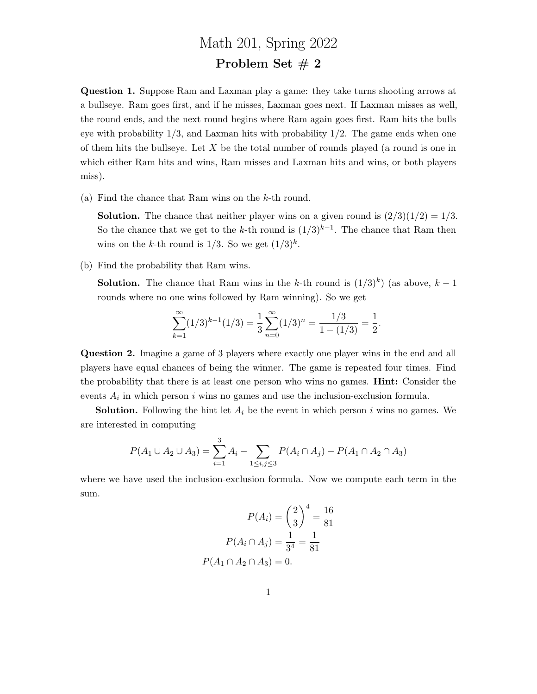## Math 201, Spring 2022 Problem Set  $# 2$

Question 1. Suppose Ram and Laxman play a game: they take turns shooting arrows at a bullseye. Ram goes first, and if he misses, Laxman goes next. If Laxman misses as well, the round ends, and the next round begins where Ram again goes first. Ram hits the bulls eye with probability  $1/3$ , and Laxman hits with probability  $1/2$ . The game ends when one of them hits the bullseye. Let  $X$  be the total number of rounds played (a round is one in which either Ram hits and wins, Ram misses and Laxman hits and wins, or both players miss).

(a) Find the chance that Ram wins on the k-th round.

**Solution.** The chance that neither player wins on a given round is  $\left(\frac{2}{3}\right)\left(\frac{1}{2}\right) = \frac{1}{3}$ . So the chance that we get to the k-th round is  $(1/3)^{k-1}$ . The chance that Ram then wins on the k-th round is  $1/3$ . So we get  $(1/3)^k$ .

(b) Find the probability that Ram wins.

**Solution.** The chance that Ram wins in the k-th round is  $(1/3)^k$  (as above,  $k-1$ ) rounds where no one wins followed by Ram winning). So we get

$$
\sum_{k=1}^{\infty} (1/3)^{k-1} (1/3) = \frac{1}{3} \sum_{n=0}^{\infty} (1/3)^n = \frac{1/3}{1 - (1/3)} = \frac{1}{2}.
$$

Question 2. Imagine a game of 3 players where exactly one player wins in the end and all players have equal chances of being the winner. The game is repeated four times. Find the probability that there is at least one person who wins no games. Hint: Consider the events  $A_i$  in which person i wins no games and use the inclusion-exclusion formula.

**Solution.** Following the hint let  $A_i$  be the event in which person i wins no games. We are interested in computing

$$
P(A_1 \cup A_2 \cup A_3) = \sum_{i=1}^{3} A_i - \sum_{1 \le i,j \le 3} P(A_i \cap A_j) - P(A_1 \cap A_2 \cap A_3)
$$

where we have used the inclusion-exclusion formula. Now we compute each term in the sum.

$$
P(A_i) = \left(\frac{2}{3}\right)^4 = \frac{16}{81}
$$

$$
P(A_i \cap A_j) = \frac{1}{3^4} = \frac{1}{81}
$$

$$
P(A_1 \cap A_2 \cap A_3) = 0.
$$